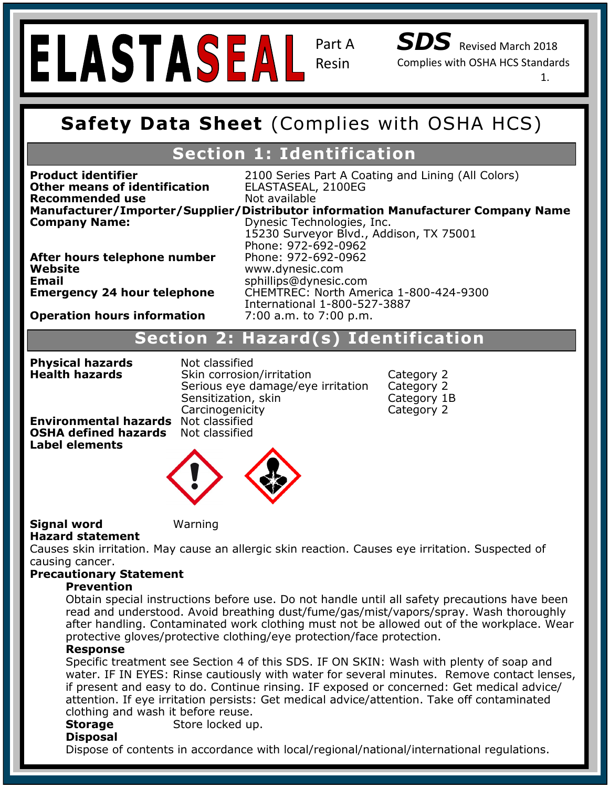Part A Resin

*SDS* Revised March 2018

Complies with OSHA HCS Standards

1.

## **Safety Data Sheet (Complies with OSHA HCS Safety Data Sheet** (Complies with OSHA HCS)

## **Section 1: Identification**

**Manufacturer/Importer/Supplier/Distributor information Manufacturer Company Name Other means of identification** ELASTASEAL, 2100EG<br>**Recommended use** Not available **Recommended use Company Name: Company Name: Dynesic Technologies, Inc.** 

**Product identifier** 2100 Series Part A Coating and Lining (All Colors)<br>Other means of identification FLASTASEAL 2100EG

After hours telephone number Phone: 972-692-0962 mall<br>mannengur 24 l **Chemical Family:** Novolac Epoxies **Email** sphillips@dynesic.com

**Company Name:** *Dynesic Technologies, Inc.* 15230 Surveyor Blvd., Addison, TX 75001 **Reposite and temperature resistant, UV stabilized, ultra coating for inducersities www.dynesic.com** Phone: 972-692-0962 **Emergency 24 hour telephone** CHEMTREC: North America 1-800-424-9300 International 1-800-527-3887

#### **Operation hours information** 7:00 a.m. to 7:00 p.m.

#### **Hazard Classification: Skin Irritant- Category 2 Signal Word: Warning Section 2: Hazard(s) Identification Section 2: Hazard(s) Identification**

**Physical hazards** Mot classified **Health hazards** Skin corrosion/irritation Category 2 Serious eye damage/eye irritation Category 2 Sensitization, skin Category 1B Carcinogenicity Category 2

**Precaution is needed, have precaution in the container or label advice is not at hand. Environmental hazards** Not classified **OSHA defined hazards** Not classified



#### **Signal word Warning Hazard statement**

 $P_3$ P501: Dispose of contents/container in accordance with local/regional/national

Causes skin irritation. May cause an allergic skin reaction. Causes eye irritation. Suspected of causing cancer.

#### **Precautionary Statement**

#### **Prevention**

**Prevention**<br>Obtain special instructions before use. Do not handle until all safety precautions have been Obtain special instructions before use. Bo not nailine untir all safety precaditions have been<br>read and understood. Avoid breathing dust/fume/gas/mist/vapors/spray. Wash thoroughly I cad and anacretood: Word Breathing dast, rame, gas, mist, vapors, spray: Wash thoroughly<br>after handling. Contaminated work clothing must not be allowed out of the workplace. Wear protective gloves/protective clothing/eye protection/face protection.

#### **Response BIMS 8 (2008)**

Specific treatment see Section 4 of this SDS. IF ON SKIN: Wash with plenty of soap and water. IF IN EYES: Rinse cautiously with water for several minutes. Remove contact lenses, in present and easy to do. Continue mising. In exposed or concerned: Get medical advice<br>attention. If eye irritation persists: Get medical advice/attention. Take off contaminated if present and easy to do. Continue rinsing. IF exposed or concerned: Get medical advice/ clothing and wash it before reuse.

**Storage Store locked up.** 

#### **Disposal**

Dispose of contents in accordance with local/regional/national/international regulations.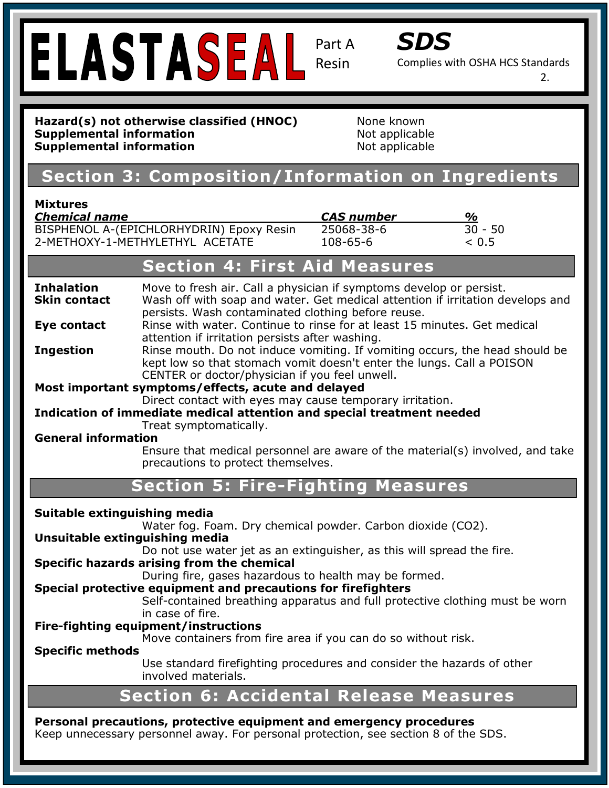# **ELASTASEAL** Resin

Part A



Complies with OSHA HCS Standards

2.

#### **Safety Data Sheet (Complies with OSHA HCS Supplemental information** Not applicable Hazard(s) not otherwise classified (HNOC) None known **Supplemental information Not applicable**

# **Section 1: Identification Section 3: Composition/Information on Ingredients**

#### **Mixtures**

| .                                        |                          |               |
|------------------------------------------|--------------------------|---------------|
| <b>Chemical name</b>                     | <i><b>CAS number</b></i> | $\frac{a}{2}$ |
| BISPHENOL A-(EPICHLORHYDRIN) Epoxy Resin | 25068-38-6               | $30 - 50$     |
| 2-METHOXY-1-METHYLETHYL ACETATE          | $108 - 65 - 6$           | ~< 0.5        |
|                                          |                          |               |

|                                                                                             | <b>Section 4: First Aid Measures</b>                                                                                                                                                                        |  |  |
|---------------------------------------------------------------------------------------------|-------------------------------------------------------------------------------------------------------------------------------------------------------------------------------------------------------------|--|--|
| <b>Inhalation</b><br><b>Skin contact</b>                                                    | Move to fresh air. Call a physician if symptoms develop or persist.<br>Wash off with soap and water. Get medical attention if irritation develops and<br>persists. Wash contaminated clothing before reuse. |  |  |
| Eye contact                                                                                 | Rinse with water. Continue to rinse for at least 15 minutes. Get medical<br>attention if irritation persists after washing.                                                                                 |  |  |
| <b>Ingestion</b>                                                                            | Rinse mouth. Do not induce vomiting. If vomiting occurs, the head should be<br>kept low so that stomach vomit doesn't enter the lungs. Call a POISON<br>CENTER or doctor/physician if you feel unwell.      |  |  |
|                                                                                             | Most important symptoms/effects, acute and delayed                                                                                                                                                          |  |  |
|                                                                                             | Direct contact with eyes may cause temporary irritation.                                                                                                                                                    |  |  |
|                                                                                             | Indication of immediate medical attention and special treatment needed                                                                                                                                      |  |  |
| <b>General information</b>                                                                  | Treat symptomatically.                                                                                                                                                                                      |  |  |
|                                                                                             | Ensure that medical personnel are aware of the material(s) involved, and take<br>precautions to protect themselves.                                                                                         |  |  |
|                                                                                             | <b>Section 5: Fire-Fighting Measures</b>                                                                                                                                                                    |  |  |
| Suitable extinguishing media<br>Water fog. Foam. Dry chemical powder. Carbon dioxide (CO2). |                                                                                                                                                                                                             |  |  |
|                                                                                             |                                                                                                                                                                                                             |  |  |
| Unsuitable extinguishing media                                                              |                                                                                                                                                                                                             |  |  |
|                                                                                             | Do not use water jet as an extinguisher, as this will spread the fire.<br>Specific hazards arising from the chemical                                                                                        |  |  |
|                                                                                             | During fire, gases hazardous to health may be formed.                                                                                                                                                       |  |  |
|                                                                                             | Special protective equipment and precautions for firefighters                                                                                                                                               |  |  |
|                                                                                             | Self-contained breathing apparatus and full protective clothing must be worn                                                                                                                                |  |  |
|                                                                                             | in case of fire.                                                                                                                                                                                            |  |  |
|                                                                                             | Fire-fighting equipment/instructions                                                                                                                                                                        |  |  |
|                                                                                             | Move containers from fire area if you can do so without risk.                                                                                                                                               |  |  |
| <b>Specific methods</b>                                                                     | Use standard firefighting procedures and consider the hazards of other<br>involved materials.                                                                                                               |  |  |

### **Personal precautions, protective equipment and emergency procedures**

Keep unnecessary personnel away. For personal protection, see section 8 of the SDS.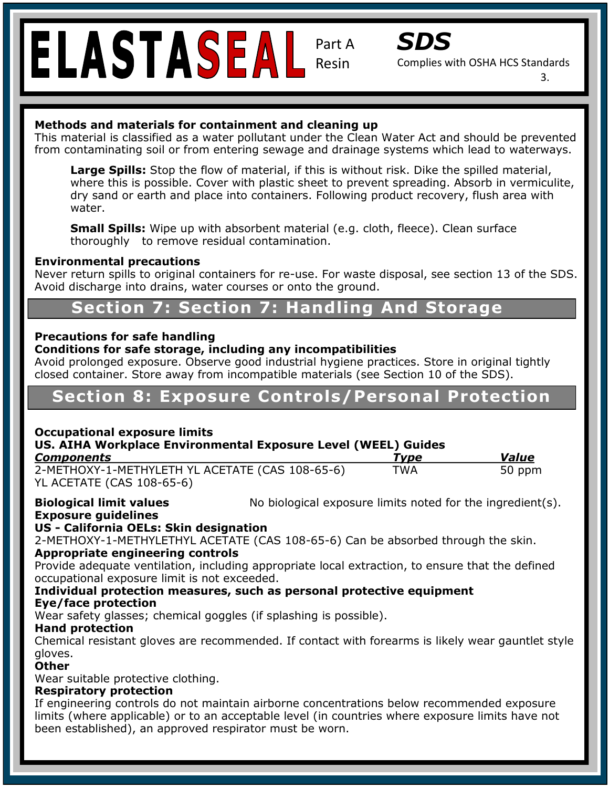# Resin

Part A



Complies with OSHA HCS Standards

3.

#### **Methods and materials for containment and cleaning up**

This material is classified as a water pollutant under the Clean Water Act and should be prevented from contaminating soil or from entering sewage and drainage systems which lead to waterways.

water. **Large Spins.** Stop the now of material, if this is without risk. Dike the spilled material,<br>where this is possible. Cover with plastic sheet to prevent spreading. Absorb in vermiculite, **Large Spills:** Stop the flow of material, if this is without risk. Dike the spilled material, dry sand or earth and place into containers. Following product recovery, flush area with

**Small Spills:** Wipe up with absorbent material (e.g. cloth, fleece). Clean surface thoroughly to remove residual contamination.

## **Environmental precautions**

**Rever return spills to original containers for re-use. For waste disposal, see section 13 of the SDS.** Avoid discharge into drains, water courses or onto the ground.

# **Chemical Section 7: Section 7: Handling And Storage**

## **Hazard Classification: Skin Irritant- Category 2 Precautions for safe handling**

# Precautions for safe handling<br>Conditions for safe storage, including any incompatibilities

**Hazard Statement(s): H317 Prolonged exposure may cause an allergic skin reaction.** Avoid prolonged exposure. Observe good industrial hygiene practices. Store in original tightly closed container. Store away from incompatible materials (see Section 10 of the SDS).

# **Section 8: Exposure Controls/Personal Protection**

#### **Occupational exposure limits**

### US. AIHA Workplace Environmental Exposure Level (WEEL) Guides

| <b>Components</b>                                                            | Tvpe       | <b>Value</b> |
|------------------------------------------------------------------------------|------------|--------------|
| 2-METHOXY-1-METHYLETH YL ACETATE (CAS 108-65-6)<br>YL ACETATE (CAS 108-65-6) | <b>TWA</b> | 50 ppm       |

**Biological limit values No biological exposure limits noted for the ingredient(s). Biological** 

#### P333+P313: If skin irritation/rash occurs, get medical attention. **Exposure guidelines US - California OELs: Skin designation**

IN QESIGNATION:  $P_{\rm{C}}$  and  $P_{\rm{C}}$  and  $P_{\rm{C}}$  and  $P_{\rm{C}}$  accordance with localizational in accordance with localization 2-METHOXY-1-METHYLETHYL ACETATE (CAS 108-65-6) Can be absorbed through the skin.<br>Annronriate engineering controls

#### **Appropriate engineering controls**

occupational exposure limit is not exceeded. **Notice that the exceeded** Provide adequate ventilation, including appropriate local extraction, to ensure that the defined

#### Individual protection measures, such as personal protective equipment Instability: 0 **Eye/face protection**

Wear safety glasses; chemical goggles (if splashing is possible).<br>Wear treatents **Hand protection** 

**HIMS ® Rating:** Health: 1 Chemical resistant gloves are recommended. If contact with forearms is likely wear gauntlet style gloves.

#### **Other**

Wear suitable protective clothing.

#### **Respiratory protection**

Personal Protection Index: C If engineering controls do not maintain airborne concentrations below recommended exposure limits (where applicable) or to an acceptable level (in countries where exposure limits have not been established), an approved respirator must be worn.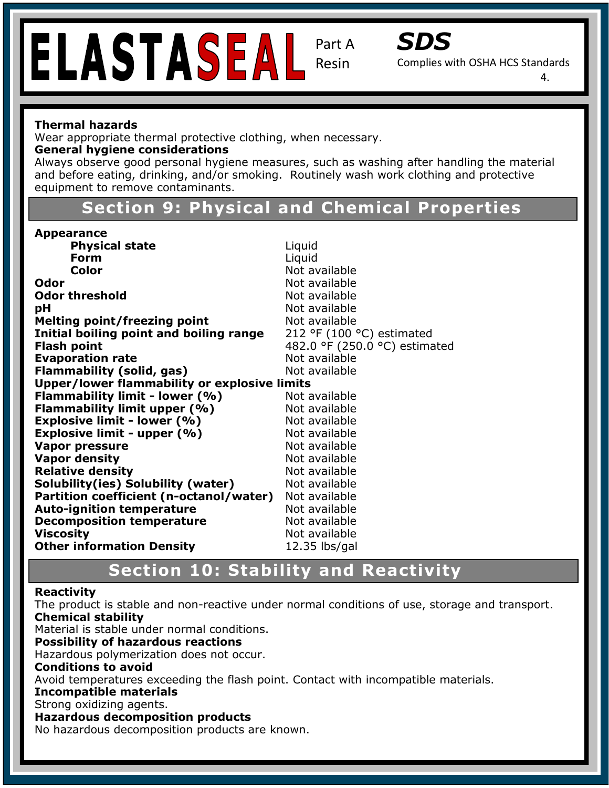# Resin

Part A



Complies with OSHA HCS Standards

4.

#### **Thermal hazards**

Wear appropriate thermal protective clothing, when necessary.

#### **General hygiene considerations**

and before eating, drinking, and/or smoking. Routinely wash work clothing and protective<br>equinment to remove contaminants Always observe good personal hygiene measures, such as washing after handling the material equipment to remove contaminants.

## **Trade Section 9: Physical and Chemical Properties**

| <b>Appearance</b>                            |                               |
|----------------------------------------------|-------------------------------|
| <b>Physical state</b>                        | Liquid                        |
| Form                                         | Liquid                        |
| <b>Color</b>                                 | Not available                 |
| Odor                                         | Not available                 |
| <b>Odor threshold</b>                        | Not available                 |
| рH                                           | Not available                 |
| <b>Melting point/freezing point</b>          | Not available                 |
| Initial boiling point and boiling range      | 212 °F (100 °C) estimated     |
| <b>Flash point</b>                           | 482.0 °F (250.0 °C) estimated |
| <b>Evaporation rate</b>                      | Not available                 |
| Flammability (solid, gas)                    | Not available                 |
| Upper/lower flammability or explosive limits |                               |
| Flammability limit - lower (%)               | Not available                 |
| Flammability limit upper (%)                 | Not available                 |
| <b>Explosive limit - lower (%)</b>           | Not available                 |
| <b>Explosive limit - upper (%)</b>           | Not available                 |
| <b>Vapor pressure</b>                        | Not available                 |
| <b>Vapor density</b>                         | Not available                 |
| <b>Relative density</b>                      | Not available                 |
| Solubility(ies) Solubility (water)           | Not available                 |
| Partition coefficient (n-octanol/water)      | Not available                 |
| <b>Auto-ignition temperature</b>             | Not available                 |
| <b>Decomposition temperature</b>             | Not available                 |
| <b>Viscosity</b>                             | Not available                 |
| <b>Other information Density</b>             | $12.35$ lbs/gal               |

# **NFPA REACTES SECTION 10: Stability and Reactivity**

#### **Reactivity**

The product is stable and non-reactive under normal conditions of use, storage and transport. Specific Hazard: N/A **Chemical stability** 

Material is stable under normal conditions.

#### **Possibility of hazardous reactions**

**Hims School Constitutions**<br>Hazardous polymerization does not occur. Flammability: 1

#### **Conditions to avoid**

Avoid temperatures exceeding the flash point. Contact with incompatible materials.

#### **Incompatible materials**

#### Strong oxidizing agents.

#### **Hazardous decomposition products**

No hazardous decomposition products are known.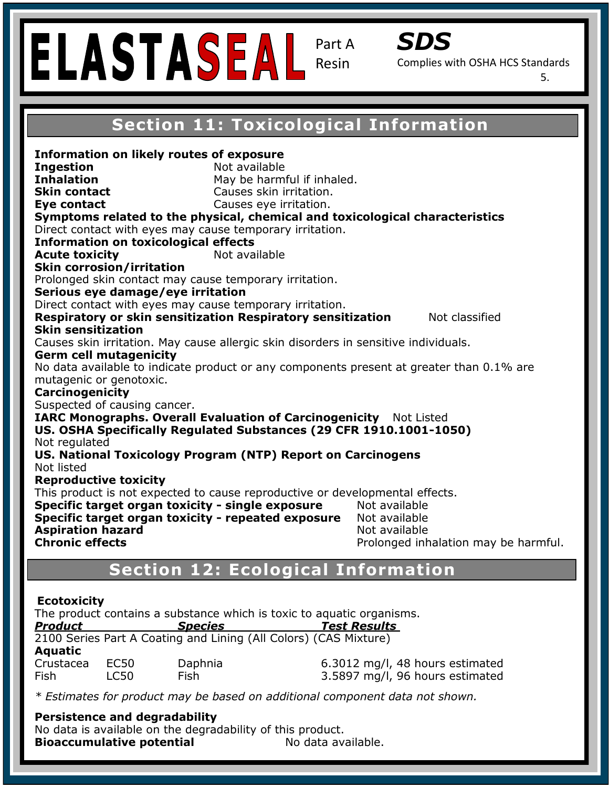# Resin

Part A



Complies with OSHA HCS Standards

5.

### **Safety Data Sheet (Complies with OSHA HCS Section 11: Toxicological Information**

**Eye contact**<br>Symptoms related to the physical, chemical and toxicological characteristics Direct contact with eyes may cause temporary irritation. **Information on toxicological effects Acute toxicity Not available Recommended Use: A Recommended USE: A Recommended USE: A Recommended USE: USE: 2018. In and temperature resistant, USE: 0.01. A Recommended USE: 0.01. A Recommended USE: 0.01. A Recommended USE: 0.01. A Recommended USE: 0** Prolonged skin contact may cause temporary irritation.<br>Contains are damage (are instation **Chrous cyclumings, eye in hation**<br>Direct contact with eyes may cause temporary irritation. **Hazard Classification Category 22 Signal Word: Warning Section 2: Hazard(s) Identification** Causes skin irritation. May cause allergic skin disorders in sensitive individuals. **Hara** Serm cell mutagenicity is a statement of the statement of the statement of the statement of the statement of the statement of the statement of the statement of the statement of the statement of the statement of the **Pictogram: Carcinogenicity Product Statements: Inc. If medical advice is negative is negotial advice in the product container or label at h**<br>Discovering product container or label at handless product container or label at hand. In the second contai **US. National Toxicology Program (NTP) Report on Carcinogens** reproductive conters,<br>This product is not expected to cause reproductive or developmental effects. **Specific target organ toxicity - single exposure** Not available **Specific target organ toxicity - repeated exposure** Not available Not available **Section 1: Inhalation** May be harmful if inhaled. **Information on likely routes of exposure Ingestion** Not available **Skin contact** Causes skin irritation. **Eve contact** Causes eve irritation. **Skin corrosion/irritation Serious eye damage/eye irritation Respiratory or skin sensitization Respiratory sensitization Mot classified Germ cell mutagenicity**  No data available to indicate product or any components present at greater than 0.1% are mutagenic or genotoxic. Suspected of causing cancer. **IARC Monographs. Overall Evaluation of Carcinogenicity** Not Listed **US. OSHA Specifically Regulated Substances (29 CFR 1910.1001-1050)**  Not regulated Not listed **Reproductive toxicity Aspiration hazard<br>Chronic effects** Prolonged inhalation may be harmful.

# **NFPA Ration 12: Ecological Information**

#### **Ecotoxicity**

Instability: 0 The product contains a substance which is toxic to aquatic organisms.<br>**Product Species Species Test Besults** 

| <b>Product</b> | <b>Species</b> |                                                                  | <b>Test Results</b> |  |
|----------------|----------------|------------------------------------------------------------------|---------------------|--|
|                |                | 2100 Series Part A Coating and Lining (All Colors) (CAS Mixture) |                     |  |
| <b>Aquatic</b> |                |                                                                  |                     |  |
| Crustacea      | EC50           | Daphnia                                                          | $6.3012$ mg/l, 48   |  |
| Fish           | LC50.          | Fish                                                             | 3.5897 mg/l, 96     |  |

B hours estimated Fish LC50 Fish 3.5897 mg/l, 96 hours estimated

\* Estimates for product may be based on additional component data not shown.

#### **Persistence and degradability**

No data is available on the degradability of this product. **Bioaccumulative potential Mo data available.**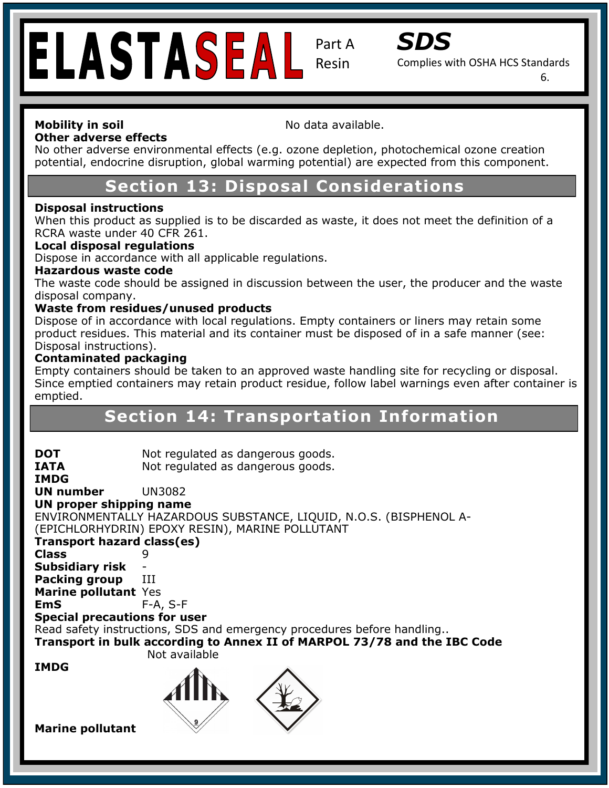# ELASTASEAL

Part A Resin



Complies with OSHA HCS Standards

6.

#### **Mobility in soil Mobility in soil No data available. Other adverse effects**

**Safety Data Sheet (Complies with OSHA HCS** No other adverse environmental effects (e.g. ozone depletion, photochemical ozone creation potential, endocrine disruption, global warming potential) are expected from this component.

# **Section 13: Disposal Considerations**

## **Disposal instructions**

When this product as supplied is to be discarded as waste, it does not meet the definition of a<br>RCBA waste under 40 CEB 261 RCRA waste under 40 CFR 261.

### Phone: 972-692-0962 **Local disposal regulations**

Dispose in accordance with all applicable regulations.

#### **Recommended Use:** *Recorde* **Estabilized, under the coating for industrial coating for industrial coating for industrial coating for industrial coating for industrial coating for industrial coating for industrial coating fo**

The waste code should be assigned in discussion between the user, the producer and the waste disposal company.<br>... disposal company.

#### **Waste from residues/unused products**

**Hazard Classification: Skin Irritant- Category 2** .<br>Disposal instructions). product residues. This material and its container must be disposed of in a safe manner (see:<br>Disposal instructions). Dispose of in accordance with local regulations. Empty containers or liners may retain some

#### **Contaminated packaging and allergic skin reaction.**

Since emptied containers may retain product residue, follow label warnings even after container is Empty containers should be taken to an approved waste handling site for recycling or disposal. emptied.

## **Section 14: Transportation Information**

| <b>DOT</b><br><b>IATA</b>           | Not regulated as dangerous goods.<br>Not regulated as dangerous goods.   |
|-------------------------------------|--------------------------------------------------------------------------|
| <b>IMDG</b><br>UN number            | <b>UN3082</b>                                                            |
|                                     |                                                                          |
| UN proper shipping name             |                                                                          |
|                                     | ENVIRONMENTALLY HAZARDOUS SUBSTANCE, LIQUID, N.O.S. (BISPHENOL A-        |
|                                     | (EPICHLORHYDRIN) EPOXY RESIN), MARINE POLLUTANT                          |
| Transport hazard class(es)          |                                                                          |
| <b>Class</b>                        |                                                                          |
| <b>Subsidiary risk</b>              |                                                                          |
| <b>Packing group</b>                | III                                                                      |
| Marine pollutant Yes                |                                                                          |
| <b>EmS</b>                          | $F-A, S-F$                                                               |
| <b>Special precautions for user</b> |                                                                          |
|                                     | Read safety instructions, SDS and emergency procedures before handling   |
|                                     | Transport in bulk according to Annex II of MARPOL 73/78 and the IBC Code |
|                                     | Not available                                                            |
| <b>IMDG</b>                         |                                                                          |
|                                     |                                                                          |
|                                     |                                                                          |
|                                     |                                                                          |
|                                     |                                                                          |
| <b>Marine pollutant</b>             |                                                                          |
|                                     |                                                                          |
|                                     |                                                                          |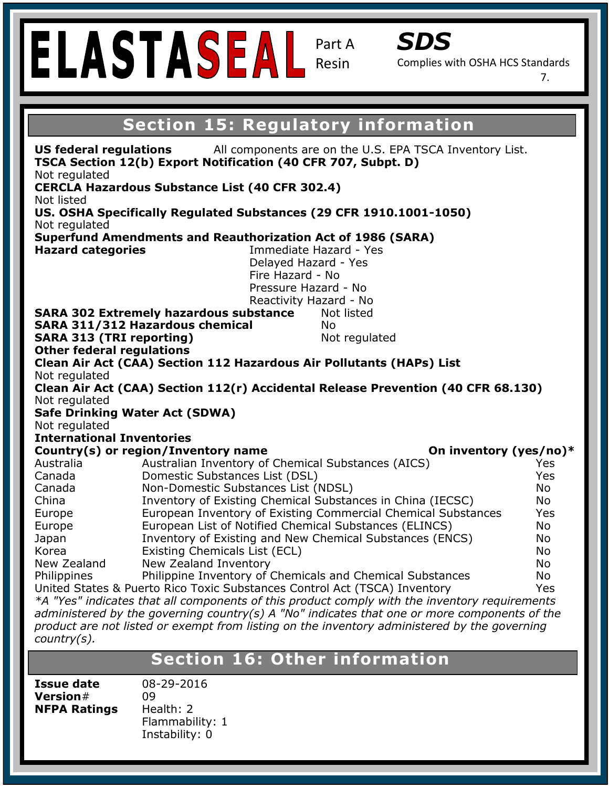|                                                                                                                                                                                                                        | ELASTASEAL                                                                                                                                                                                                  | Part A<br>Resin | SDS<br>Complies with OSHA HCS Standards | 7.       |
|------------------------------------------------------------------------------------------------------------------------------------------------------------------------------------------------------------------------|-------------------------------------------------------------------------------------------------------------------------------------------------------------------------------------------------------------|-----------------|-----------------------------------------|----------|
|                                                                                                                                                                                                                        |                                                                                                                                                                                                             |                 |                                         |          |
|                                                                                                                                                                                                                        | <b>Section 15: Regulatory information</b>                                                                                                                                                                   |                 |                                         |          |
| Not regulated<br>Not listed                                                                                                                                                                                            | US federal regulations<br>All components are on the U.S. EPA TSCA Inventory List.<br>TSCA Section 12(b) Export Notification (40 CFR 707, Subpt. D)<br><b>CERCLA Hazardous Substance List (40 CFR 302.4)</b> |                 |                                         |          |
|                                                                                                                                                                                                                        | US. OSHA Specifically Regulated Substances (29 CFR 1910.1001-1050)                                                                                                                                          |                 |                                         |          |
| Not regulated                                                                                                                                                                                                          |                                                                                                                                                                                                             |                 |                                         |          |
| <b>Superfund Amendments and Reauthorization Act of 1986 (SARA)</b><br><b>Hazard categories</b><br>Immediate Hazard - Yes<br>Delayed Hazard - Yes<br>Fire Hazard - No<br>Pressure Hazard - No<br>Reactivity Hazard - No |                                                                                                                                                                                                             |                 |                                         |          |
|                                                                                                                                                                                                                        | <b>SARA 302 Extremely hazardous substance</b>                                                                                                                                                               | Not listed      |                                         |          |
|                                                                                                                                                                                                                        | SARA 311/312 Hazardous chemical                                                                                                                                                                             | <b>No</b>       |                                         |          |
| <b>SARA 313 (TRI reporting)</b><br><b>Other federal regulations</b>                                                                                                                                                    |                                                                                                                                                                                                             | Not regulated   |                                         |          |
|                                                                                                                                                                                                                        | Clean Air Act (CAA) Section 112 Hazardous Air Pollutants (HAPs) List                                                                                                                                        |                 |                                         |          |
| Not regulated                                                                                                                                                                                                          |                                                                                                                                                                                                             |                 |                                         |          |
|                                                                                                                                                                                                                        | Clean Air Act (CAA) Section 112(r) Accidental Release Prevention (40 CFR 68.130)                                                                                                                            |                 |                                         |          |
| Not regulated                                                                                                                                                                                                          |                                                                                                                                                                                                             |                 |                                         |          |
|                                                                                                                                                                                                                        | <b>Safe Drinking Water Act (SDWA)</b>                                                                                                                                                                       |                 |                                         |          |
| Not regulated<br><b>International Inventories</b>                                                                                                                                                                      |                                                                                                                                                                                                             |                 |                                         |          |
|                                                                                                                                                                                                                        | Country(s) or region/Inventory name                                                                                                                                                                         |                 | On inventory (yes/no)*                  |          |
| Australia                                                                                                                                                                                                              | Australian Inventory of Chemical Substances (AICS)                                                                                                                                                          |                 |                                         | Yes      |
| Canada                                                                                                                                                                                                                 | Domestic Substances List (DSL)                                                                                                                                                                              |                 |                                         | Yes      |
| Canada<br>China                                                                                                                                                                                                        | Non-Domestic Substances List (NDSL)<br>Inventory of Existing Chemical Substances in China (IECSC)                                                                                                           |                 |                                         | No<br>No |
| Europe                                                                                                                                                                                                                 | European Inventory of Existing Commercial Chemical Substances                                                                                                                                               |                 |                                         | Yes      |
| Europe                                                                                                                                                                                                                 | European List of Notified Chemical Substances (ELINCS)                                                                                                                                                      |                 |                                         | No       |
| Japan                                                                                                                                                                                                                  | Inventory of Existing and New Chemical Substances (ENCS)                                                                                                                                                    |                 |                                         | No       |
| Korea                                                                                                                                                                                                                  | Existing Chemicals List (ECL)                                                                                                                                                                               |                 |                                         | No       |
| New Zealand                                                                                                                                                                                                            | New Zealand Inventory                                                                                                                                                                                       |                 |                                         | No       |
| Philippine Inventory of Chemicals and Chemical Substances<br>No<br>Philippines                                                                                                                                         |                                                                                                                                                                                                             |                 |                                         |          |
| United States & Puerto Rico Toxic Substances Control Act (TSCA) Inventory<br>Yes<br>*A "Yes" indicates that all components of this product comply with the inventory requirements                                      |                                                                                                                                                                                                             |                 |                                         |          |
| administered by the governing country(s) A "No" indicates that one or more components of the                                                                                                                           |                                                                                                                                                                                                             |                 |                                         |          |
|                                                                                                                                                                                                                        | product are not listed or exempt from listing on the inventory administered by the governing                                                                                                                |                 |                                         |          |
| $country(s)$ .                                                                                                                                                                                                         |                                                                                                                                                                                                             |                 |                                         |          |
|                                                                                                                                                                                                                        |                                                                                                                                                                                                             |                 |                                         |          |

## **Section 16: Other information**

**Version# 09<br>
NFPA Ratings Heart** 

**Issue date**  $08-29-2016$  $\mathbb{R}$  Personal Protection Index: Construction Index: Construction Index: Construction Index: Construction Index: Construction Index: Construction Index: Construction Index: Construction Index: Construction Index: Const **NFPA Ratings** Health: 2 Flammability: 1 Instability: 0